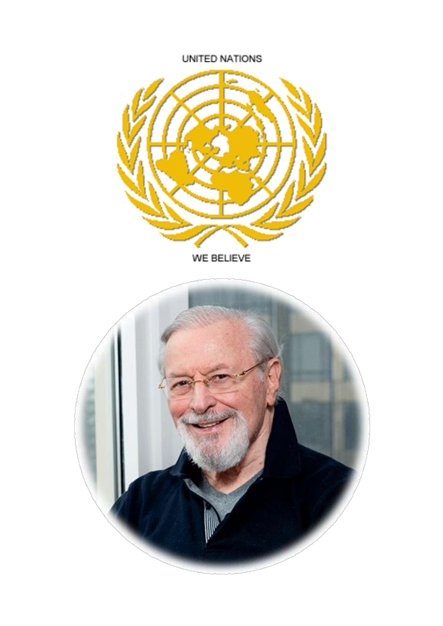## UNITED NATIONS



WE BELIEVE

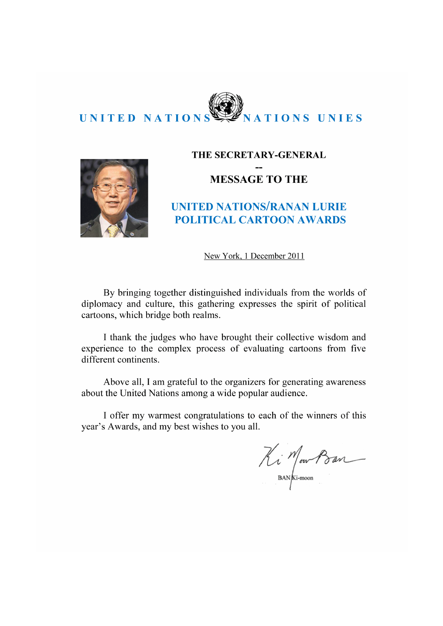



#### THE SECRETARY-GENERAL

## **MESSAGE TO THE**

## **UNITED NATIONS/RANAN LURIE POLITICAL CARTOON AWARDS**

New York, 1 December 2011

By bringing together distinguished individuals from the worlds of diplomacy and culture, this gathering expresses the spirit of political cartoons, which bridge both realms.

I thank the judges who have brought their collective wisdom and experience to the complex process of evaluating cartoons from five different continents.

Above all, I am grateful to the organizers for generating awareness about the United Nations among a wide popular audience.

I offer my warmest congratulations to each of the winners of this year's Awards, and my best wishes to you all.

Ki Mour Ban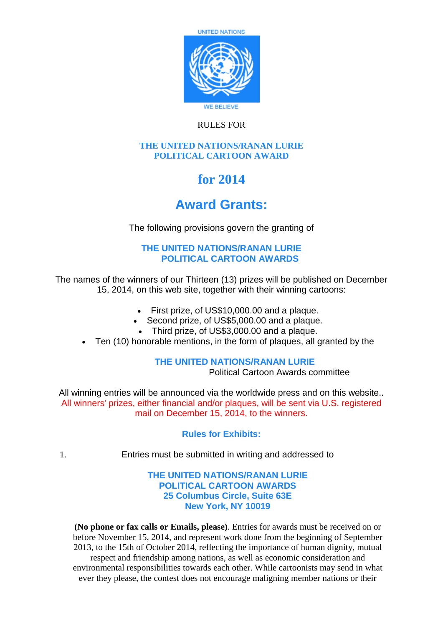

## RULES FOR

#### **THE UNITED NATIONS/RANAN LURIE POLITICAL CARTOON AWARD**

# **for 2014**

## **Award Grants:**

The following provisions govern the granting of

## **THE UNITED NATIONS/RANAN LURIE POLITICAL CARTOON AWARDS**

The names of the winners of our Thirteen (13) prizes will be published on December 15, 2014, on this web site, together with their winning cartoons:

- First prize, of US\$10,000,00 and a plaque.
- Second prize, of US\$5,000.00 and a plaque.
- Third prize, of US\$3,000.00 and a plaque.
- Ten (10) honorable mentions, in the form of plaques, all granted by the

### **THE UNITED NATIONS/RANAN LURIE**

Political Cartoon Awards committee

All winning entries will be announced via the worldwide press and on this website.. All winners' prizes, either financial and/or plaques, will be sent via U.S. registered mail on December 15, 2014, to the winners.

### **Rules for Exhibits:**

1. Entries must be submitted in writing and addressed to

#### **THE UNITED NATIONS/RANAN LURIE POLITICAL CARTOON AWARDS 25 Columbus Circle, Suite 63E New York, NY 10019**

**(No phone or fax calls or Emails, please)**. Entries for awards must be received on or before November 15, 2014, and represent work done from the beginning of September 2013, to the 15th of October 2014, reflecting the importance of human dignity, mutual respect and friendship among nations, as well as economic consideration and environmental responsibilities towards each other. While cartoonists may send in what ever they please, the contest does not encourage maligning member nations or their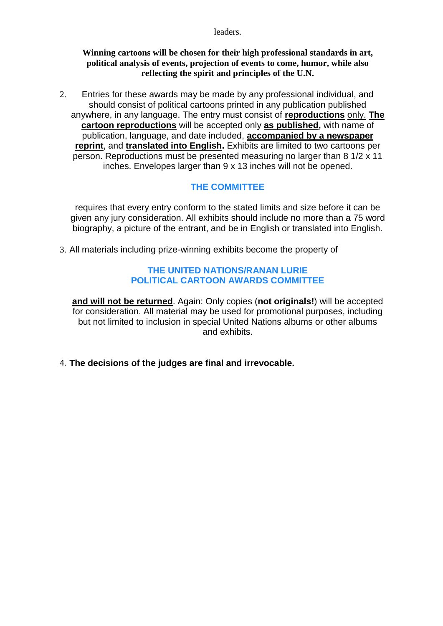leaders.

#### **Winning cartoons will be chosen for their high professional standards in art, political analysis of events, projection of events to come, humor, while also reflecting the spirit and principles of the U.N.**

2. Entries for these awards may be made by any professional individual, and should consist of political cartoons printed in any publication published anywhere, in any language. The entry must consist of **reproductions** only. **The cartoon reproductions** will be accepted only **as published,** with name of publication, language, and date included, **accompanied by a newspaper reprint**, and **translated into English.** Exhibits are limited to two cartoons per person. Reproductions must be presented measuring no larger than 8 1/2 x 11 inches. Envelopes larger than 9 x 13 inches will not be opened.

## **THE COMMITTEE**

requires that every entry conform to the stated limits and size before it can be given any jury consideration. All exhibits should include no more than a 75 word biography, a picture of the entrant, and be in English or translated into English.

3. All materials including prize-winning exhibits become the property of

#### **THE UNITED NATIONS/RANAN LURIE POLITICAL CARTOON AWARDS COMMITTEE**

**and will not be returned**. Again: Only copies (**not originals!**) will be accepted for consideration. All material may be used for promotional purposes, including but not limited to inclusion in special United Nations albums or other albums and exhibits.

4. **The decisions of the judges are final and irrevocable.**